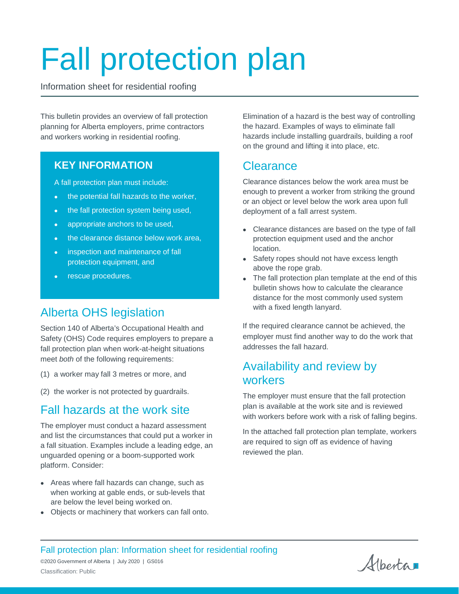# Fall protection plan

Information sheet for residential roofing

This bulletin provides an overview of fall protection planning for Alberta employers, prime contractors and workers working in residential roofing.

## **KEY INFORMATION**

A fall protection plan must include:

- the potential fall hazards to the worker,
- the fall protection system being used,
- appropriate anchors to be used,
- the clearance distance below work area,
- inspection and maintenance of fall protection equipment, and
- rescue procedures.

## Alberta OHS legislation

Section 140 of Alberta's Occupational Health and Safety (OHS) Code requires employers to prepare a fall protection plan when work-at-height situations meet *both* of the following requirements:

- (1) a worker may fall 3 metres or more, and
- (2) the worker is not protected by guardrails.

## Fall hazards at the work site

The employer must conduct a hazard assessment and list the circumstances that could put a worker in a fall situation. Examples include a leading edge, an unguarded opening or a boom-supported work platform. Consider:

- Areas where fall hazards can change, such as when working at gable ends, or sub-levels that are below the level being worked on.
- Objects or machinery that workers can fall onto.

Elimination of a hazard is the best way of controlling the hazard. Examples of ways to eliminate fall hazards include installing guardrails, building a roof on the ground and lifting it into place, etc.

## **Clearance**

Clearance distances below the work area must be enough to prevent a worker from striking the ground or an object or level below the work area upon full deployment of a fall arrest system.

- Clearance distances are based on the type of fall protection equipment used and the anchor location.
- Safety ropes should not have excess length above the rope grab.
- The fall protection plan template at the end of this bulletin shows how to calculate the clearance distance for the most commonly used system with a fixed length lanyard.

If the required clearance cannot be achieved, the employer must find another way to do the work that addresses the fall hazard.

## Availability and review by workers

The employer must ensure that the fall protection plan is available at the work site and is reviewed with workers before work with a risk of falling begins.

In the attached fall protection plan template, workers are required to sign off as evidence of having reviewed the plan.

Fall protection plan: Information sheet for residential roofing

Albertan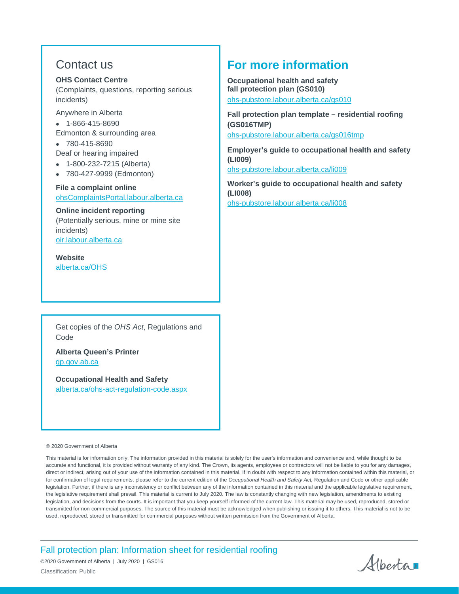## Contact us

#### **OHS Contact Centre**

(Complaints, questions, reporting serious incidents)

Anywhere in Alberta

- 1-866-415-8690
- Edmonton & surrounding area
- 780-415-8690 Deaf or hearing impaired
- 1-800-232-7215 (Alberta)
- 780-427-9999 (Edmonton)

## **File a complaint online** [ohsComplaintsPortal.labour.alberta.ca](https://ohscomplaintsportal.labour.alberta.ca/prescreening/)

#### **Online incident reporting**

(Potentially serious, mine or mine site incidents) [oir.labour.alberta.ca](http://oir.labour.alberta.ca/)

**Website**  [alberta.ca/OHS](http://www.alberta.ca/occupational-health-safety.aspx)

Get copies of the *OHS Act*, Regulations and Code

**Alberta Queen's Printer** [qp.gov.ab.ca](http://www.qp.gov.ab.ca/)

**Occupational Health and Safety** [alberta.ca/ohs-act-regulation-code.aspx](http://www.alberta.ca/ohs-act-regulation-code.aspx)

## **For more information**

**Occupational health and safety fall protection plan (GS010)**

[ohs-pubstore.labour.alberta.ca/gs010](https://ohs-pubstore.labour.alberta.ca/gs010)

**Fall protection plan template – residential roofing (GS016TMP)**

[ohs-pubstore.labour.alberta.ca/gs016tmp](https://ohs-pubstore.labour.alberta.ca/gs016TMP)

**Employer's guide to occupational health and safety (LI009)**

[ohs-pubstore.labour.alberta.ca/li009](https://ohs-pubstore.labour.alberta.ca/li009)

**Worker's guide to occupational health and safety (LI008)** [ohs-pubstore.labour.alberta.ca/li008](https://ohs-pubstore.labour.alberta.ca/li008)

#### © 2020 Government of Alberta

This material is for information only. The information provided in this material is solely for the user's information and convenience and, while thought to be accurate and functional, it is provided without warranty of any kind. The Crown, its agents, employees or contractors will not be liable to you for any damages, direct or indirect, arising out of your use of the information contained in this material. If in doubt with respect to any information contained within this material, or for confirmation of legal requirements, please refer to the current edition of the *Occupational Health and Safety Act,* Regulation and Code or other applicable legislation. Further, if there is any inconsistency or conflict between any of the information contained in this material and the applicable legislative requirement, the legislative requirement shall prevail. This material is current to July 2020. The law is constantly changing with new legislation, amendments to existing legislation, and decisions from the courts. It is important that you keep yourself informed of the current law. This material may be used, reproduced, stored or transmitted for non-commercial purposes. The source of this material must be acknowledged when publishing or issuing it to others. This material is not to be used, reproduced, stored or transmitted for commercial purposes without written permission from the Government of Alberta.

Fall protection plan: Information sheet for residential roofing

Albertan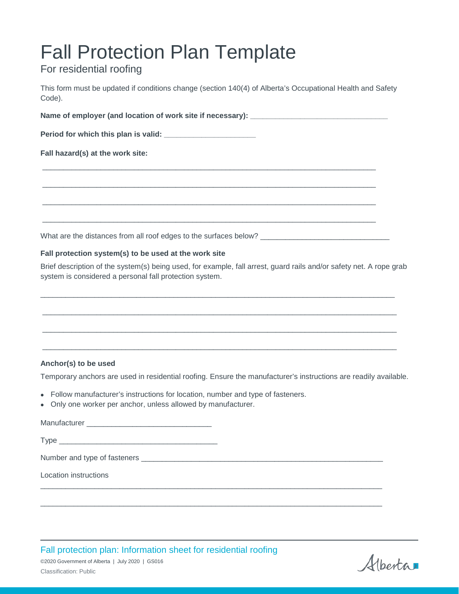## Fall Protection Plan Template

## For residential roofing

This form must be updated if conditions change (section 140(4) of Alberta's Occupational Health and Safety Code).

Name of employer (and location of work site if necessary): \_\_\_\_\_\_\_\_\_\_\_\_\_\_\_\_\_\_\_\_\_ **Period for which this plan is valid: \_\_\_\_\_\_\_\_\_\_\_\_\_\_\_\_\_\_\_\_\_\_ Fall hazard(s) at the work site:** \_\_\_\_\_\_\_\_\_\_\_\_\_\_\_\_\_\_\_\_\_\_\_\_\_\_\_\_\_\_\_\_\_\_\_\_\_\_\_\_\_\_\_\_\_\_\_\_\_\_\_\_\_\_\_\_\_\_\_\_\_\_\_\_\_\_\_\_\_\_\_\_\_\_\_\_\_\_\_\_ \_\_\_\_\_\_\_\_\_\_\_\_\_\_\_\_\_\_\_\_\_\_\_\_\_\_\_\_\_\_\_\_\_\_\_\_\_\_\_\_\_\_\_\_\_\_\_\_\_\_\_\_\_\_\_\_\_\_\_\_\_\_\_\_\_\_\_\_\_\_\_\_\_\_\_\_\_\_\_\_ \_\_\_\_\_\_\_\_\_\_\_\_\_\_\_\_\_\_\_\_\_\_\_\_\_\_\_\_\_\_\_\_\_\_\_\_\_\_\_\_\_\_\_\_\_\_\_\_\_\_\_\_\_\_\_\_\_\_\_\_\_\_\_\_\_\_\_\_\_\_\_\_\_\_\_\_\_\_\_\_ \_\_\_\_\_\_\_\_\_\_\_\_\_\_\_\_\_\_\_\_\_\_\_\_\_\_\_\_\_\_\_\_\_\_\_\_\_\_\_\_\_\_\_\_\_\_\_\_\_\_\_\_\_\_\_\_\_\_\_\_\_\_\_\_\_\_\_\_\_\_\_\_\_\_\_\_\_\_\_\_ What are the distances from all roof edges to the surfaces below?

### **Fall protection system(s) to be used at the work site**

Brief description of the system(s) being used, for example, fall arrest, guard rails and/or safety net. A rope grab system is considered a personal fall protection system.

\_\_\_\_\_\_\_\_\_\_\_\_\_\_\_\_\_\_\_\_\_\_\_\_\_\_\_\_\_\_\_\_\_\_\_\_\_\_\_\_\_\_\_\_\_\_\_\_\_\_\_\_\_\_\_\_\_\_\_\_\_\_\_\_\_\_\_\_\_\_\_\_\_\_\_\_\_\_\_\_\_\_\_\_\_

\_\_\_\_\_\_\_\_\_\_\_\_\_\_\_\_\_\_\_\_\_\_\_\_\_\_\_\_\_\_\_\_\_\_\_\_\_\_\_\_\_\_\_\_\_\_\_\_\_\_\_\_\_\_\_\_\_\_\_\_\_\_\_\_\_\_\_\_\_\_\_\_\_\_\_\_\_\_\_\_\_\_\_\_\_

\_\_\_\_\_\_\_\_\_\_\_\_\_\_\_\_\_\_\_\_\_\_\_\_\_\_\_\_\_\_\_\_\_\_\_\_\_\_\_\_\_\_\_\_\_\_\_\_\_\_\_\_\_\_\_\_\_\_\_\_\_\_\_\_\_\_\_\_\_\_\_\_\_\_\_\_\_\_\_\_\_\_\_\_\_

\_\_\_\_\_\_\_\_\_\_\_\_\_\_\_\_\_\_\_\_\_\_\_\_\_\_\_\_\_\_\_\_\_\_\_\_\_\_\_\_\_\_\_\_\_\_\_\_\_\_\_\_\_\_\_\_\_\_\_\_\_\_\_\_\_\_\_\_\_\_\_\_\_\_\_\_\_\_\_\_\_\_\_\_\_

### **Anchor(s) to be used**

Temporary anchors are used in residential roofing. Ensure the manufacturer's instructions are readily available.

- Follow manufacturer's instructions for location, number and type of fasteners.
- Only one worker per anchor, unless allowed by manufacturer.

Manufacturer \_\_\_\_\_\_\_\_\_\_\_\_\_\_\_\_\_\_\_\_\_\_\_\_\_\_\_\_\_\_  $Type \_\_$ Number and type of fasteners \_\_\_\_\_\_\_\_\_\_\_\_\_\_\_\_\_\_\_\_\_\_\_\_\_\_\_\_\_\_\_\_\_\_\_\_\_\_\_\_\_\_\_\_\_\_\_\_\_\_\_\_\_\_\_\_\_\_ Location instructions \_\_\_\_\_\_\_\_\_\_\_\_\_\_\_\_\_\_\_\_\_\_\_\_\_\_\_\_\_\_\_\_\_\_\_\_\_\_\_\_\_\_\_\_\_\_\_\_\_\_\_\_\_\_\_\_\_\_\_\_\_\_\_\_\_\_\_\_\_\_\_\_\_\_\_\_\_\_\_\_\_\_

\_\_\_\_\_\_\_\_\_\_\_\_\_\_\_\_\_\_\_\_\_\_\_\_\_\_\_\_\_\_\_\_\_\_\_\_\_\_\_\_\_\_\_\_\_\_\_\_\_\_\_\_\_\_\_\_\_\_\_\_\_\_\_\_\_\_\_\_\_\_\_\_\_\_\_\_\_\_\_\_\_\_

Fall protection plan: Information sheet for residential roofing

Alberta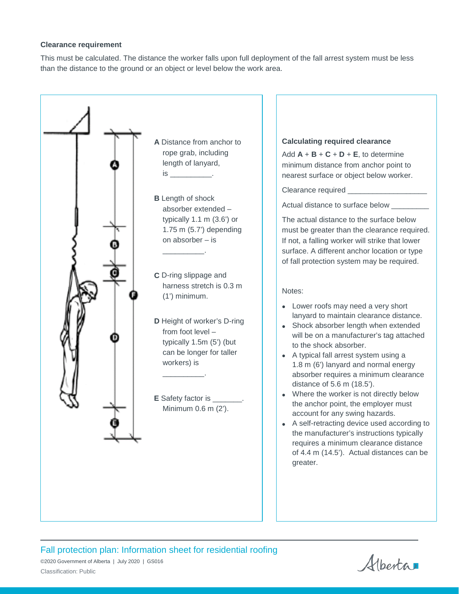#### **Clearance requirement**

This must be calculated. The distance the worker falls upon full deployment of the fall arrest system must be less than the distance to the ground or an object or level below the work area.



Fall protection plan: Information sheet for residential roofing ©2020 Government of Alberta | July 2020 | GS016

Albertar

Classification: Public